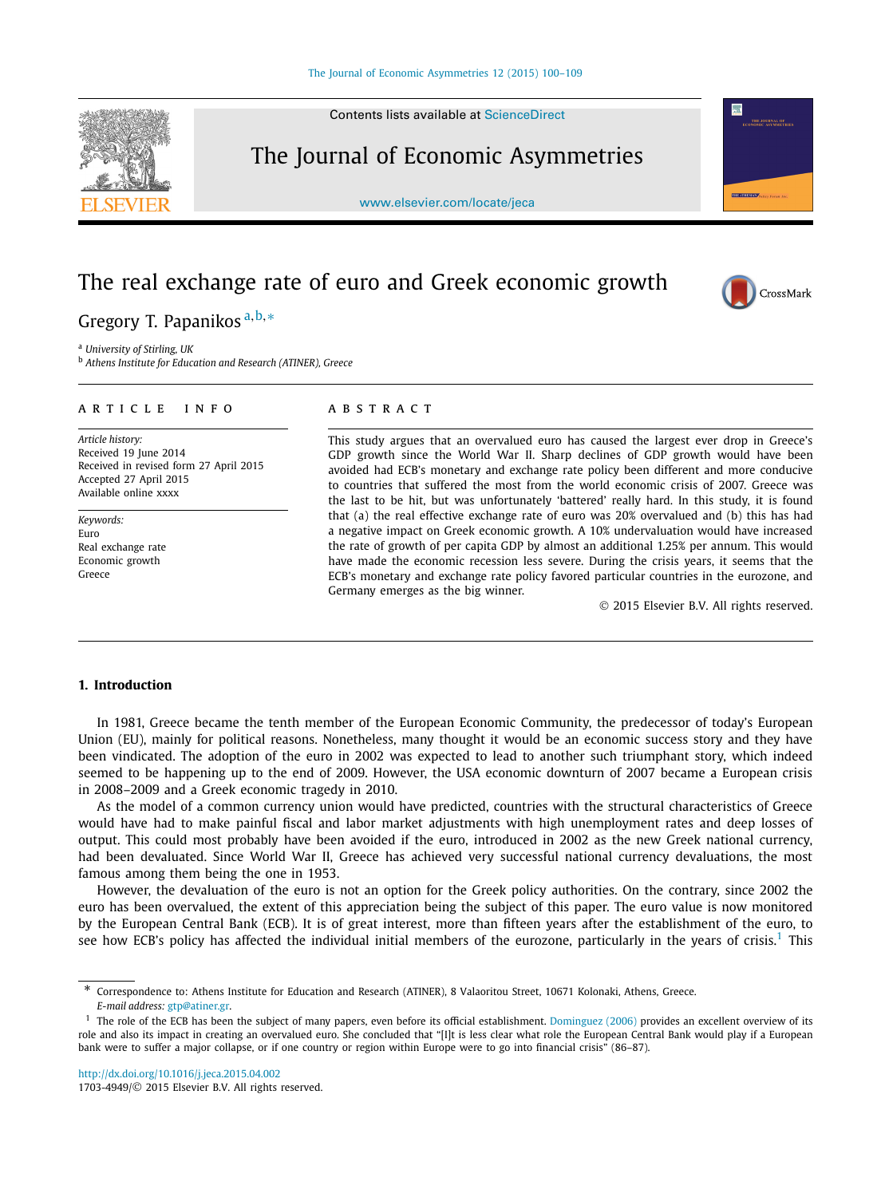Contents lists available at [ScienceDirect](http://www.ScienceDirect.com/)

## The Journal of Economic Asymmetries

[www.elsevier.com/locate/jeca](http://www.elsevier.com/locate/jeca)

# The real exchange rate of euro and Greek economic growth

### Gregory T. Papanikos <sup>a</sup>*,*b*,*<sup>∗</sup>

<sup>a</sup> *University of Stirling, UK*

<sup>b</sup> *Athens Institute for Education and Research (ATINER), Greece*

#### A R T I C L E I N F O A B S T R A C T

*Article history:* Received 19 June 2014 Received in revised form 27 April 2015 Accepted 27 April 2015 Available online xxxx

*Keywords:* Euro Real exchange rate Economic growth Greece

This study argues that an overvalued euro has caused the largest ever drop in Greece's GDP growth since the World War II. Sharp declines of GDP growth would have been avoided had ECB's monetary and exchange rate policy been different and more conducive to countries that suffered the most from the world economic crisis of 2007. Greece was the last to be hit, but was unfortunately 'battered' really hard. In this study, it is found that (a) the real effective exchange rate of euro was 20% overvalued and (b) this has had a negative impact on Greek economic growth. A 10% undervaluation would have increased the rate of growth of per capita GDP by almost an additional 1.25% per annum. This would have made the economic recession less severe. During the crisis years, it seems that the ECB's monetary and exchange rate policy favored particular countries in the eurozone, and Germany emerges as the big winner.

© 2015 Elsevier B.V. All rights reserved.

#### **1. Introduction**

In 1981, Greece became the tenth member of the European Economic Community, the predecessor of today's European Union (EU), mainly for political reasons. Nonetheless, many thought it would be an economic success story and they have been vindicated. The adoption of the euro in 2002 was expected to lead to another such triumphant story, which indeed seemed to be happening up to the end of 2009. However, the USA economic downturn of 2007 became a European crisis in 2008–2009 and a Greek economic tragedy in 2010.

As the model of a common currency union would have predicted, countries with the structural characteristics of Greece would have had to make painful fiscal and labor market adjustments with high unemployment rates and deep losses of output. This could most probably have been avoided if the euro, introduced in 2002 as the new Greek national currency, had been devaluated. Since World War II, Greece has achieved very successful national currency devaluations, the most famous among them being the one in 1953.

However, the devaluation of the euro is not an option for the Greek policy authorities. On the contrary, since 2002 the euro has been overvalued, the extent of this appreciation being the subject of this paper. The euro value is now monitored by the European Central Bank (ECB). It is of great interest, more than fifteen years after the establishment of the euro, to see how ECB's policy has affected the individual initial members of the eurozone, particularly in the years of crisis.<sup>1</sup> This

<http://dx.doi.org/10.1016/j.jeca.2015.04.002> 1703-4949/© 2015 Elsevier B.V. All rights reserved.





CrossMark

<sup>\*</sup> Correspondence to: Athens Institute for Education and Research (ATINER), <sup>8</sup> Valaoritou Street, <sup>10671</sup> Kolonaki, Athens, Greece. *E-mail address:* [gtp@atiner.gr](mailto:gtp@atiner.grquerymark {Q4}).

The role of the ECB has been the subject of many papers, even before its official establishment. [Dominguez \(2006\)](#page-9-0) provides an excellent overview of its role and also its impact in creating an overvalued euro. She concluded that "[I]t is less clear what role the European Central Bank would play if a European bank were to suffer a major collapse, or if one country or region within Europe were to go into financial crisis" (86–87).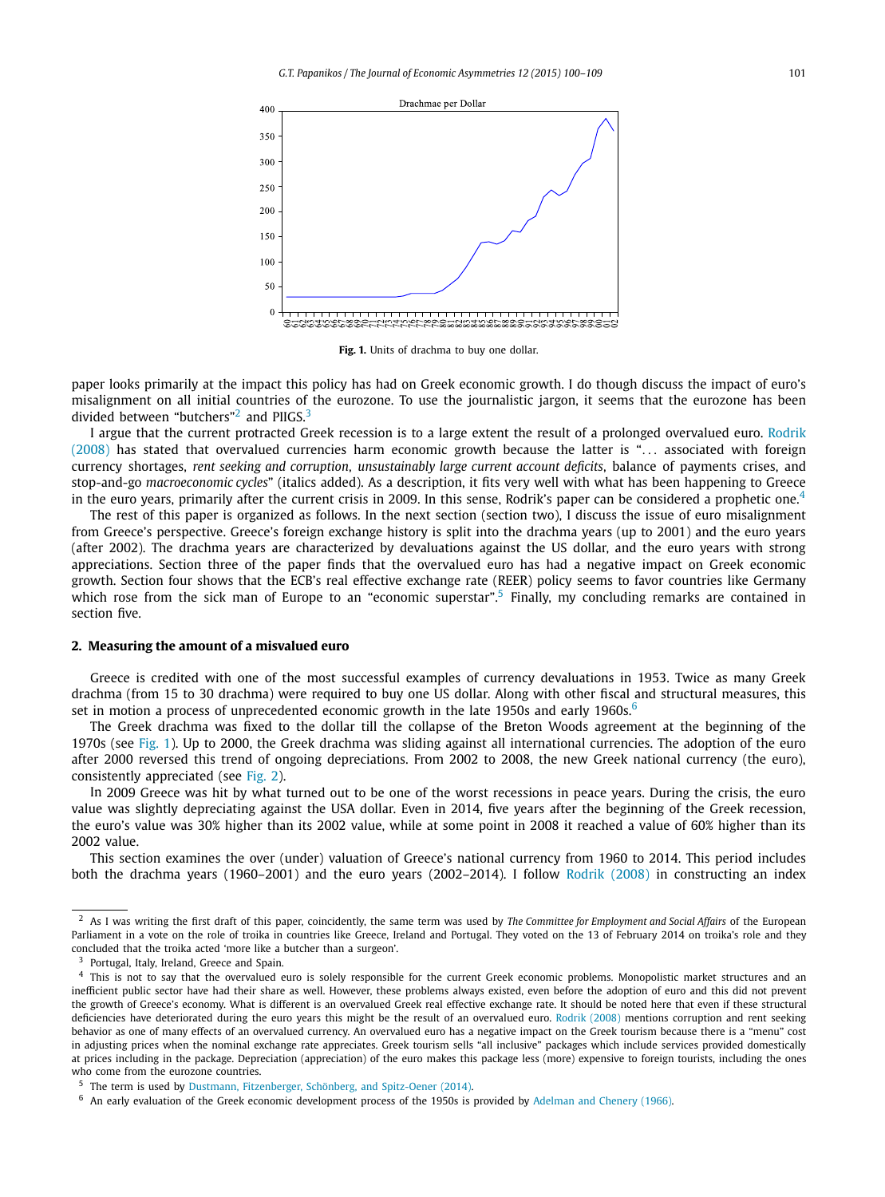

**Fig. 1.** Units of drachma to buy one dollar.

paper looks primarily at the impact this policy has had on Greek economic growth. I do though discuss the impact of euro's misalignment on all initial countries of the eurozone. To use the journalistic jargon, it seems that the eurozone has been divided between "butchers"<sup>2</sup> and PIIGS.<sup>3</sup>

I argue that the current protracted Greek recession is to a large extent the result of a prolonged overvalued euro. [Rodrik](#page-9-0) [\(2008\)](#page-9-0) has stated that overvalued currencies harm economic growth because the latter is "*...* associated with foreign currency shortages, *rent seeking and corruption*, *unsustainably large current account deficits*, balance of payments crises, and stop-and-go *macroeconomic cycles*" (italics added). As a description, it fits very well with what has been happening to Greece in the euro years, primarily after the current crisis in 2009. In this sense, Rodrik's paper can be considered a prophetic one.<sup>4</sup>

The rest of this paper is organized as follows. In the next section (section two), I discuss the issue of euro misalignment from Greece's perspective. Greece's foreign exchange history is split into the drachma years (up to 2001) and the euro years (after 2002). The drachma years are characterized by devaluations against the US dollar, and the euro years with strong appreciations. Section three of the paper finds that the overvalued euro has had a negative impact on Greek economic growth. Section four shows that the ECB's real effective exchange rate (REER) policy seems to favor countries like Germany which rose from the sick man of Europe to an "economic superstar".<sup>5</sup> Finally, my concluding remarks are contained in section five.

#### **2. Measuring the amount of a misvalued euro**

Greece is credited with one of the most successful examples of currency devaluations in 1953. Twice as many Greek drachma (from 15 to 30 drachma) were required to buy one US dollar. Along with other fiscal and structural measures, this set in motion a process of unprecedented economic growth in the late 1950s and early 1960s.<sup>6</sup>

The Greek drachma was fixed to the dollar till the collapse of the Breton Woods agreement at the beginning of the 1970s (see Fig. 1). Up to 2000, the Greek drachma was sliding against all international currencies. The adoption of the euro after 2000 reversed this trend of ongoing depreciations. From 2002 to 2008, the new Greek national currency (the euro), consistently appreciated (see [Fig. 2\)](#page-2-0).

In 2009 Greece was hit by what turned out to be one of the worst recessions in peace years. During the crisis, the euro value was slightly depreciating against the USA dollar. Even in 2014, five years after the beginning of the Greek recession, the euro's value was 30% higher than its 2002 value, while at some point in 2008 it reached a value of 60% higher than its 2002 value.

This section examines the over (under) valuation of Greece's national currency from 1960 to 2014. This period includes both the drachma years (1960–2001) and the euro years (2002–2014). I follow [Rodrik \(2008\)](#page-9-0) in constructing an index

<sup>2</sup> As I was writing the first draft of this paper, coincidently, the same term was used by *The Committee for Employment and Social Affairs* of the European Parliament in a vote on the role of troika in countries like Greece, Ireland and Portugal. They voted on the 13 of February 2014 on troika's role and they concluded that the troika acted 'more like a butcher than a surgeon'.

<sup>3</sup> Portugal, Italy, Ireland, Greece and Spain.

<sup>4</sup> This is not to say that the overvalued euro is solely responsible for the current Greek economic problems. Monopolistic market structures and an inefficient public sector have had their share as well. However, these problems always existed, even before the adoption of euro and this did not prevent the growth of Greece's economy. What is different is an overvalued Greek real effective exchange rate. It should be noted here that even if these structural deficiencies have deteriorated during the euro years this might be the result of an overvalued euro. [Rodrik \(2008\)](#page-9-0) mentions corruption and rent seeking behavior as one of many effects of an overvalued currency. An overvalued euro has a negative impact on the Greek tourism because there is a "menu" cost in adjusting prices when the nominal exchange rate appreciates. Greek tourism sells "all inclusive" packages which include services provided domestically at prices including in the package. Depreciation (appreciation) of the euro makes this package less (more) expensive to foreign tourists, including the ones who come from the eurozone countries.

<sup>5</sup> The term is used by Dustmann, [Fitzenberger,](#page-9-0) Schönberg, and Spitz-Oener (2014).

<sup>6</sup> An early evaluation of the Greek economic development process of the 1950s is provided by Adelman and [Chenery \(1966\).](#page-9-0)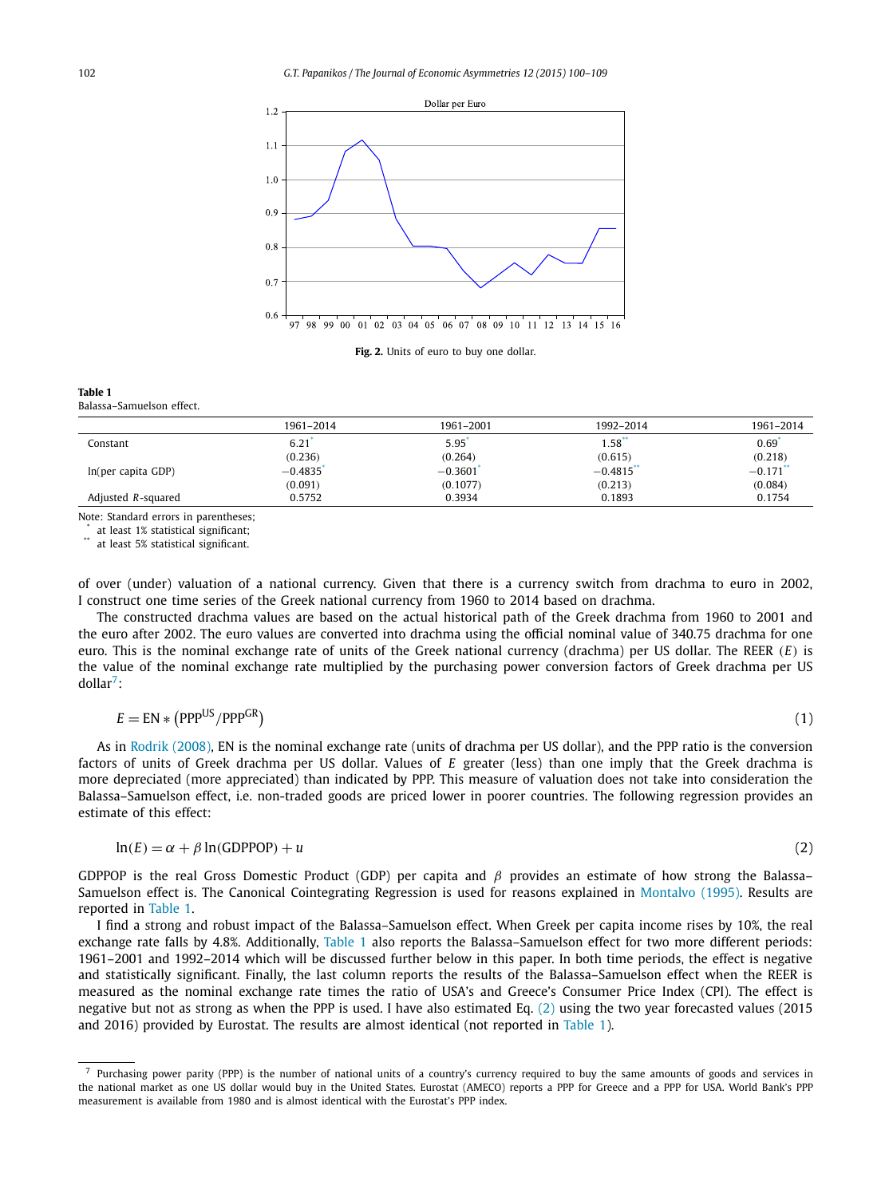<span id="page-2-0"></span>

**Fig. 2.** Units of euro to buy one dollar.

#### **Table 1** Balassa–Samuelson effect.

|                    | 1961-2014 | 1961-2001 | 1992-2014            | 1961-2014             |
|--------------------|-----------|-----------|----------------------|-----------------------|
| Constant           | 6.21      | 5.95      | $1.58$ <sup>**</sup> | 0.69                  |
|                    | (0.236)   | (0.264)   | (0.615)              | (0.218)               |
| ln(per capita GDP) | $-0.4835$ | $-0.3601$ | $-0.4815$            | $-0.171$ <sup>*</sup> |
|                    | (0.091)   | (0.1077)  | (0.213)              | (0.084)               |
| Adjusted R-squared | 0.5752    | 0.3934    | 0.1893               | 0.1754                |

Note: Standard errors in parentheses;

 $*$  at least 1% statistical significant;

at least 5% statistical significant.

of over (under) valuation of a national currency. Given that there is a currency switch from drachma to euro in 2002, I construct one time series of the Greek national currency from 1960 to 2014 based on drachma.

The constructed drachma values are based on the actual historical path of the Greek drachma from 1960 to 2001 and the euro after 2002. The euro values are converted into drachma using the official nominal value of 340.75 drachma for one euro. This is the nominal exchange rate of units of the Greek national currency (drachma) per US dollar. The REER *(E)* is the value of the nominal exchange rate multiplied by the purchasing power conversion factors of Greek drachma per US  $dollar<sup>7</sup>$ :

$$
E = EN * (PPPUS/PPPGR)
$$
 (1)

As in [Rodrik \(2008\),](#page-9-0) EN is the nominal exchange rate (units of drachma per US dollar), and the PPP ratio is the conversion factors of units of Greek drachma per US dollar. Values of *E* greater (less) than one imply that the Greek drachma is more depreciated (more appreciated) than indicated by PPP. This measure of valuation does not take into consideration the Balassa–Samuelson effect, i.e. non-traded goods are priced lower in poorer countries. The following regression provides an estimate of this effect:

$$
\ln(E) = \alpha + \beta \ln(\text{GDPPOP}) + u \tag{2}
$$

GDPPOP is the real Gross Domestic Product (GDP) per capita and *β* provides an estimate of how strong the Balassa– Samuelson effect is. The Canonical Cointegrating Regression is used for reasons explained in [Montalvo \(1995\).](#page-9-0) Results are reported in Table 1.

I find a strong and robust impact of the Balassa–Samuelson effect. When Greek per capita income rises by 10%, the real exchange rate falls by 4.8%. Additionally, Table 1 also reports the Balassa–Samuelson effect for two more different periods: 1961–2001 and 1992–2014 which will be discussed further below in this paper. In both time periods, the effect is negative and statistically significant. Finally, the last column reports the results of the Balassa–Samuelson effect when the REER is measured as the nominal exchange rate times the ratio of USA's and Greece's Consumer Price Index (CPI). The effect is negative but not as strong as when the PPP is used. I have also estimated Eq. (2) using the two year forecasted values (2015 and 2016) provided by Eurostat. The results are almost identical (not reported in Table 1).

 $<sup>7</sup>$  Purchasing power parity (PPP) is the number of national units of a country's currency required to buy the same amounts of goods and services in</sup> the national market as one US dollar would buy in the United States. Eurostat (AMECO) reports a PPP for Greece and a PPP for USA. World Bank's PPP measurement is available from 1980 and is almost identical with the Eurostat's PPP index.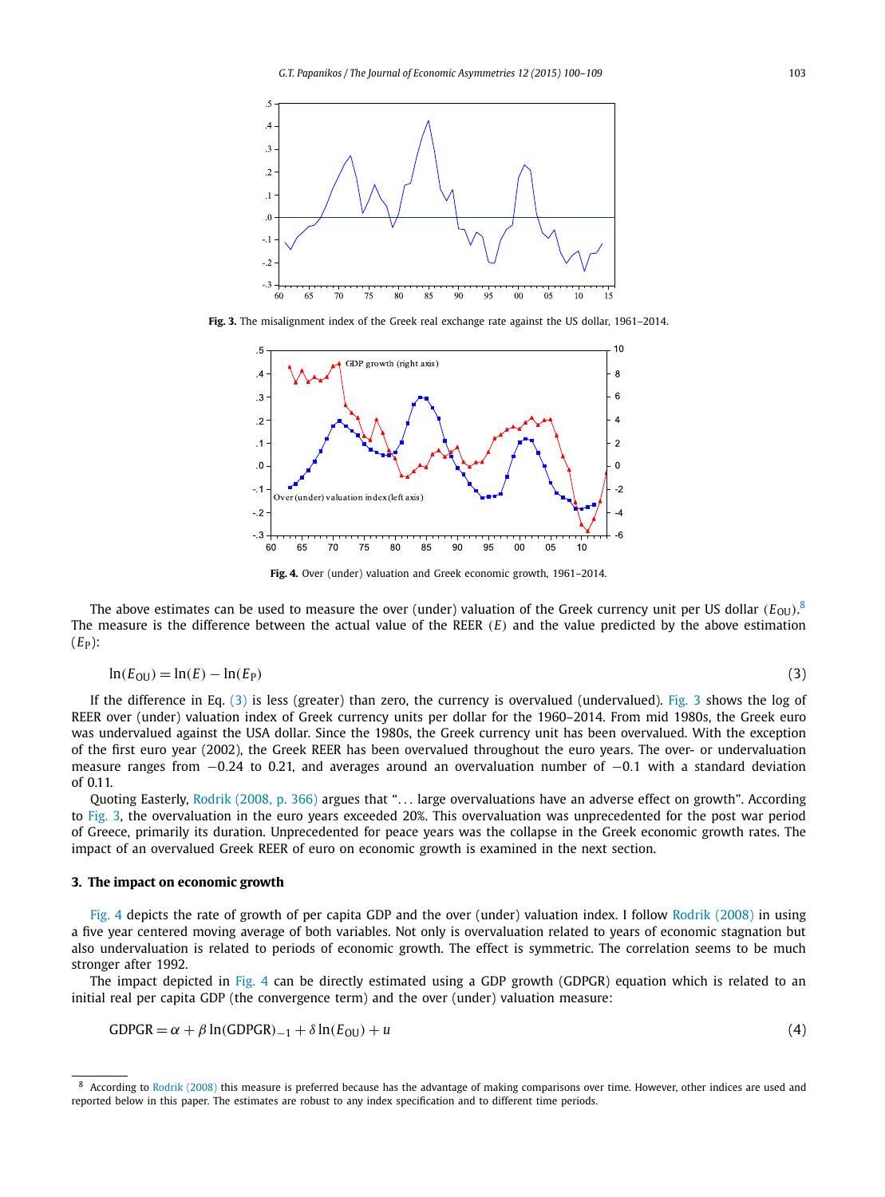<span id="page-3-0"></span>

**Fig. 3.** The misalignment index of the Greek real exchange rate against the US dollar, 1961–2014.



**Fig. 4.** Over (under) valuation and Greek economic growth, 1961–2014.

The above estimates can be used to measure the over (under) valuation of the Greek currency unit per US dollar  $(E_{\rm OU})^8$ The measure is the difference between the actual value of the REER *(E)* and the value predicted by the above estimation  $(E_P)$ :

$$
\ln(E_{\text{OU}}) = \ln(E) - \ln(E_{\text{P}}) \tag{3}
$$

If the difference in Eq.  $(3)$  is less (greater) than zero, the currency is overvalued (undervalued). Fig. 3 shows the log of REER over (under) valuation index of Greek currency units per dollar for the 1960–2014. From mid 1980s, the Greek euro was undervalued against the USA dollar. Since the 1980s, the Greek currency unit has been overvalued. With the exception of the first euro year (2002), the Greek REER has been overvalued throughout the euro years. The over- or undervaluation measure ranges from −0*.*24 to 0.21, and averages around an overvaluation number of −0*.*1 with a standard deviation of 0.11.

Quoting Easterly, Rodrik (2008, [p. 366\)](#page-9-0) argues that "*...* large overvaluations have an adverse effect on growth". According to Fig. 3, the overvaluation in the euro years exceeded 20%. This overvaluation was unprecedented for the post war period of Greece, primarily its duration. Unprecedented for peace years was the collapse in the Greek economic growth rates. The impact of an overvalued Greek REER of euro on economic growth is examined in the next section.

#### **3. The impact on economic growth**

Fig. 4 depicts the rate of growth of per capita GDP and the over (under) valuation index. I follow [Rodrik \(2008\)](#page-9-0) in using a five year centered moving average of both variables. Not only is overvaluation related to years of economic stagnation but also undervaluation is related to periods of economic growth. The effect is symmetric. The correlation seems to be much stronger after 1992.

The impact depicted in Fig. 4 can be directly estimated using a GDP growth (GDPGR) equation which is related to an initial real per capita GDP (the convergence term) and the over (under) valuation measure:

$$
GDPGR = \alpha + \beta \ln(GDPGR)_{-1} + \delta \ln(E_{OU}) + u \tag{4}
$$

<sup>8</sup> According to [Rodrik \(2008\)](#page-9-0) this measure is preferred because has the advantage of making comparisons over time. However, other indices are used and reported below in this paper. The estimates are robust to any index specification and to different time periods.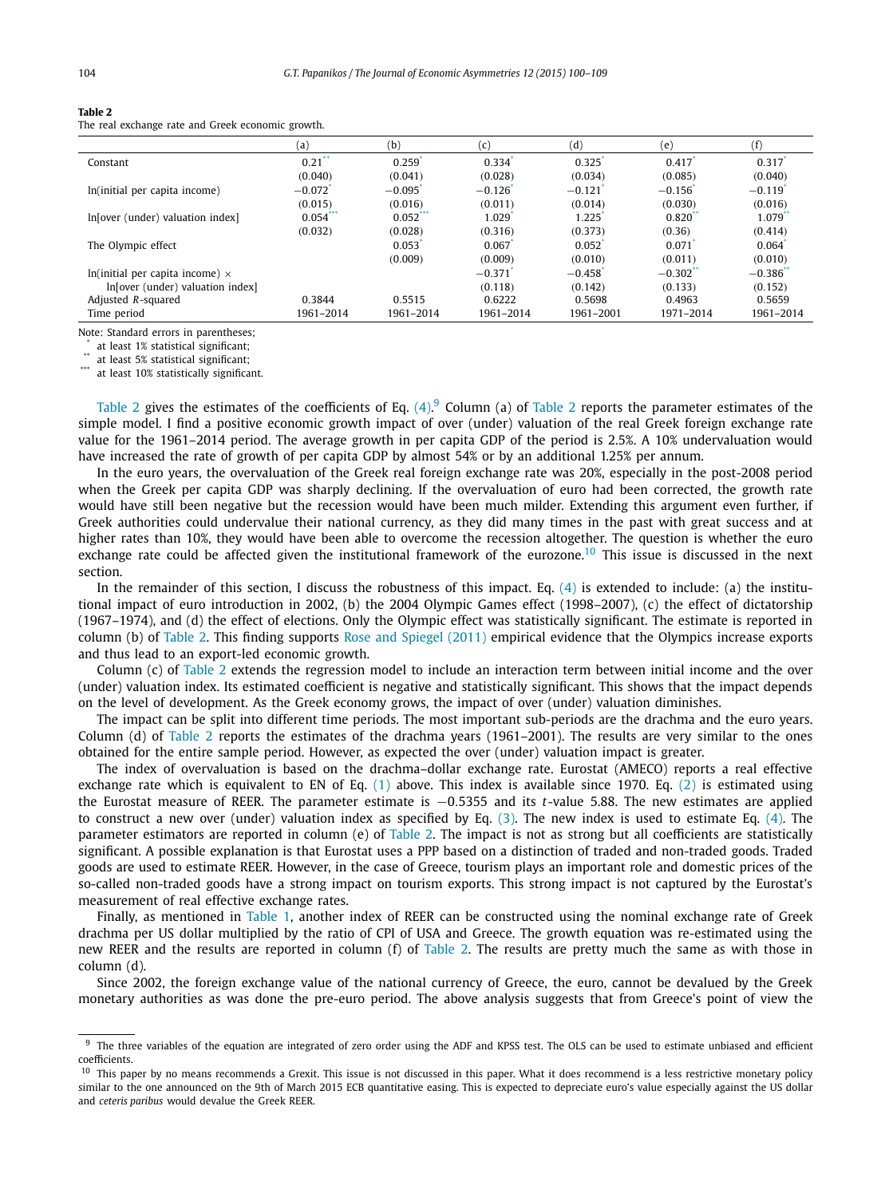#### **Table 2**

The real exchange rate and Greek economic growth.

|                                        | (a)       | (b)       | (c)       | (d)       | (e)       |           |
|----------------------------------------|-----------|-----------|-----------|-----------|-----------|-----------|
| Constant                               | 0.21      | 0.259     | 0.334     | 0.325     | 0.417     | 0.317     |
|                                        | (0.040)   | (0.041)   | (0.028)   | (0.034)   | (0.085)   | (0.040)   |
| In(initial per capita income)          | $-0.072$  | $-0.095$  | $-0.126$  | $-0.121$  | $-0.156$  | $-0.119$  |
|                                        | (0.015)   | (0.016)   | (0.011)   | (0.014)   | (0.030)   | (0.016)   |
| Infover (under) valuation index]       | 0.054     | 0.052     | 1.029     | 1.225     | 0.820     | 1.079     |
|                                        | (0.032)   | (0.028)   | (0.316)   | (0.373)   | (0.36)    | (0.414)   |
| The Olympic effect                     |           | 0.053     | 0.067     | 0.052     | 0.071     | 0.064     |
|                                        |           | (0.009)   | (0.009)   | (0.010)   | (0.011)   | (0.010)   |
| In(initial per capita income) $\times$ |           |           | $-0.371$  | $-0.458$  | $-0.302$  | $-0.386$  |
| Infover (under) valuation index]       |           |           | (0.118)   | (0.142)   | (0.133)   | (0.152)   |
| Adjusted R-squared                     | 0.3844    | 0.5515    | 0.6222    | 0.5698    | 0.4963    | 0.5659    |
| Time period                            | 1961-2014 | 1961-2014 | 1961-2014 | 1961-2001 | 1971-2014 | 1961–2014 |

Note: Standard errors in parentheses;

at least 1% statistical significant:

at least 5% statistical significant;

at least 10% statistically significant.

Table 2 gives the estimates of the coefficients of Eq.  $(4)$ . Column (a) of Table 2 reports the parameter estimates of the simple model. I find a positive economic growth impact of over (under) valuation of the real Greek foreign exchange rate value for the 1961–2014 period. The average growth in per capita GDP of the period is 2.5%. A 10% undervaluation would have increased the rate of growth of per capita GDP by almost 54% or by an additional 1.25% per annum.

In the euro years, the overvaluation of the Greek real foreign exchange rate was 20%, especially in the post-2008 period when the Greek per capita GDP was sharply declining. If the overvaluation of euro had been corrected, the growth rate would have still been negative but the recession would have been much milder. Extending this argument even further, if Greek authorities could undervalue their national currency, as they did many times in the past with great success and at higher rates than 10%, they would have been able to overcome the recession altogether. The question is whether the euro exchange rate could be affected given the institutional framework of the eurozone.<sup>10</sup> This issue is discussed in the next section.

In the remainder of this section, I discuss the robustness of this impact. Eq.  $(4)$  is extended to include: (a) the institutional impact of euro introduction in 2002, (b) the 2004 Olympic Games effect (1998–2007), (c) the effect of dictatorship (1967–1974), and (d) the effect of elections. Only the Olympic effect was statistically significant. The estimate is reported in column (b) of Table 2. This finding supports Rose and [Spiegel \(2011\)](#page-9-0) empirical evidence that the Olympics increase exports and thus lead to an export-led economic growth.

Column (c) of Table 2 extends the regression model to include an interaction term between initial income and the over (under) valuation index. Its estimated coefficient is negative and statistically significant. This shows that the impact depends on the level of development. As the Greek economy grows, the impact of over (under) valuation diminishes.

The impact can be split into different time periods. The most important sub-periods are the drachma and the euro years. Column (d) of Table 2 reports the estimates of the drachma years (1961–2001). The results are very similar to the ones obtained for the entire sample period. However, as expected the over (under) valuation impact is greater.

The index of overvaluation is based on the drachma–dollar exchange rate. Eurostat (AMECO) reports a real effective exchange rate which is equivalent to EN of Eq.  $(1)$  above. This index is available since 1970. Eq.  $(2)$  is estimated using the Eurostat measure of REER. The parameter estimate is −0*.*5355 and its *t*-value 5.88. The new estimates are applied to construct a new over (under) valuation index as specified by Eq. [\(3\).](#page-3-0) The new index is used to estimate Eq. [\(4\).](#page-3-0) The parameter estimators are reported in column (e) of Table 2. The impact is not as strong but all coefficients are statistically significant. A possible explanation is that Eurostat uses a PPP based on a distinction of traded and non-traded goods. Traded goods are used to estimate REER. However, in the case of Greece, tourism plays an important role and domestic prices of the so-called non-traded goods have a strong impact on tourism exports. This strong impact is not captured by the Eurostat's measurement of real effective exchange rates.

Finally, as mentioned in [Table 1,](#page-2-0) another index of REER can be constructed using the nominal exchange rate of Greek drachma per US dollar multiplied by the ratio of CPI of USA and Greece. The growth equation was re-estimated using the new REER and the results are reported in column (f) of Table 2. The results are pretty much the same as with those in column (d).

Since 2002, the foreign exchange value of the national currency of Greece, the euro, cannot be devalued by the Greek monetary authorities as was done the pre-euro period. The above analysis suggests that from Greece's point of view the

<sup>&</sup>lt;sup>9</sup> The three variables of the equation are integrated of zero order using the ADF and KPSS test. The OLS can be used to estimate unbiased and efficient coefficients.

<sup>&</sup>lt;sup>10</sup> This paper by no means recommends a Grexit. This issue is not discussed in this paper. What it does recommend is a less restrictive monetary policy similar to the one announced on the 9th of March 2015 ECB quantitative easing. This is expected to depreciate euro's value especially against the US dollar and *ceteris paribus* would devalue the Greek REER.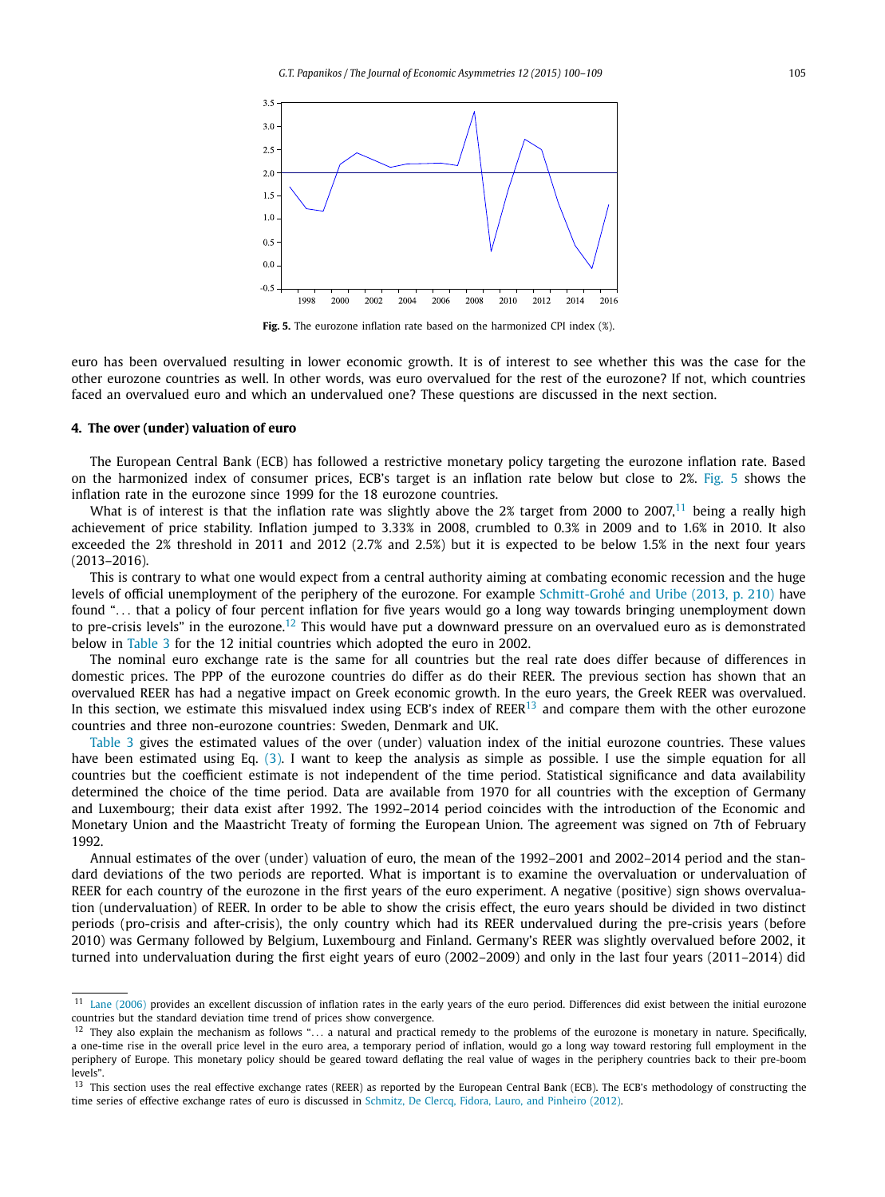

**Fig. 5.** The eurozone inflation rate based on the harmonized CPI index (%).

euro has been overvalued resulting in lower economic growth. It is of interest to see whether this was the case for the other eurozone countries as well. In other words, was euro overvalued for the rest of the eurozone? If not, which countries faced an overvalued euro and which an undervalued one? These questions are discussed in the next section.

#### **4. The over (under) valuation of euro**

The European Central Bank (ECB) has followed a restrictive monetary policy targeting the eurozone inflation rate. Based on the harmonized index of consumer prices, ECB's target is an inflation rate below but close to 2%. Fig. 5 shows the inflation rate in the eurozone since 1999 for the 18 eurozone countries.

What is of interest is that the inflation rate was slightly above the  $2%$  target from 2000 to 2007,<sup>11</sup> being a really high achievement of price stability. Inflation jumped to 3.33% in 2008, crumbled to 0.3% in 2009 and to 1.6% in 2010. It also exceeded the 2% threshold in 2011 and 2012 (2.7% and 2.5%) but it is expected to be below 1.5% in the next four years (2013–2016).

This is contrary to what one would expect from a central authority aiming at combating economic recession and the huge levels of official unemployment of the periphery of the eurozone. For example [Schmitt-Grohé](#page-9-0) and Uribe (2013, p. 210) have found "*...* that a policy of four percent inflation for five years would go a long way towards bringing unemployment down to pre-crisis levels" in the eurozone.<sup>12</sup> This would have put a downward pressure on an overvalued euro as is demonstrated below in [Table 3](#page-6-0) for the 12 initial countries which adopted the euro in 2002.

The nominal euro exchange rate is the same for all countries but the real rate does differ because of differences in domestic prices. The PPP of the eurozone countries do differ as do their REER. The previous section has shown that an overvalued REER has had a negative impact on Greek economic growth. In the euro years, the Greek REER was overvalued. In this section, we estimate this misvalued index using ECB's index of REER $^{13}$  and compare them with the other eurozone countries and three non-eurozone countries: Sweden, Denmark and UK.

[Table 3](#page-6-0) gives the estimated values of the over (under) valuation index of the initial eurozone countries. These values have been estimated using Eq. [\(3\).](#page-3-0) I want to keep the analysis as simple as possible. I use the simple equation for all countries but the coefficient estimate is not independent of the time period. Statistical significance and data availability determined the choice of the time period. Data are available from 1970 for all countries with the exception of Germany and Luxembourg; their data exist after 1992. The 1992–2014 period coincides with the introduction of the Economic and Monetary Union and the Maastricht Treaty of forming the European Union. The agreement was signed on 7th of February 1992.

Annual estimates of the over (under) valuation of euro, the mean of the 1992–2001 and 2002–2014 period and the standard deviations of the two periods are reported. What is important is to examine the overvaluation or undervaluation of REER for each country of the eurozone in the first years of the euro experiment. A negative (positive) sign shows overvaluation (undervaluation) of REER. In order to be able to show the crisis effect, the euro years should be divided in two distinct periods (pro-crisis and after-crisis), the only country which had its REER undervalued during the pre-crisis years (before 2010) was Germany followed by Belgium, Luxembourg and Finland. Germany's REER was slightly overvalued before 2002, it turned into undervaluation during the first eight years of euro (2002–2009) and only in the last four years (2011–2014) did

<sup>&</sup>lt;sup>11</sup> [Lane \(2006\)](#page-9-0) provides an excellent discussion of inflation rates in the early years of the euro period. Differences did exist between the initial eurozone countries but the standard deviation time trend of prices show convergence.

<sup>12</sup> They also explain the mechanism as follows "*...* a natural and practical remedy to the problems of the eurozone is monetary in nature. Specifically, a one-time rise in the overall price level in the euro area, a temporary period of inflation, would go a long way toward restoring full employment in the periphery of Europe. This monetary policy should be geared toward deflating the real value of wages in the periphery countries back to their pre-boom levels".

<sup>&</sup>lt;sup>13</sup> This section uses the real effective exchange rates (REER) as reported by the European Central Bank (ECB). The ECB's methodology of constructing the time series of effective exchange rates of euro is discussed in [Schmitz,](#page-9-0) De Clercq, Fidora, Lauro, and Pinheiro (2012).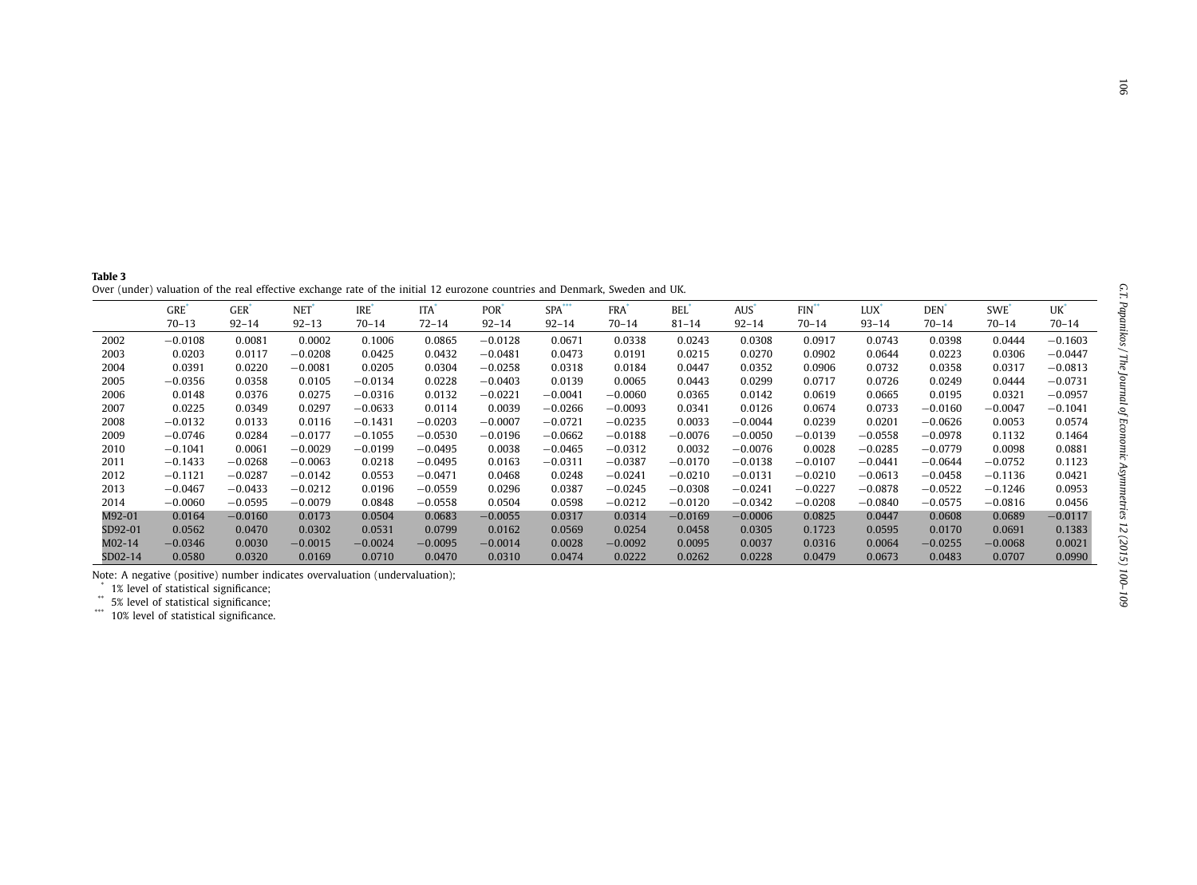<span id="page-6-0"></span>

| able 3                                                                                                                    |  |
|---------------------------------------------------------------------------------------------------------------------------|--|
| wer (under) valuation of the real effective exchange rate of the initial 12 eurozone countries and Denmark, Sweden and UK |  |

|          | $GRE$ <sup>*</sup><br>$70 - 13$ | <b>GER</b><br>$92 - 14$ | NET <sup>*</sup><br>$92 - 13$ | IRE <sup>*</sup><br>$70 - 14$ | <b>ITA</b><br>$72 - 14$ | POR <sup>*</sup><br>$92 - 14$ | $SPA$ <sup>***</sup><br>$92 - 14$ | <b>FRA</b><br>$70 - 14$ | <b>BEL</b><br>$81 - 14$ | AUS <sup>*</sup><br>$92 - 14$ | $FIN^{\ast\ast}$<br>$70 - 14$ | LUX <sup>*</sup><br>$93 - 14$ | <b>DEN</b><br>$70 - 14$ | SWE <sup>*</sup><br>$70 - 14$ | UK <sup>'</sup><br>70-14 |
|----------|---------------------------------|-------------------------|-------------------------------|-------------------------------|-------------------------|-------------------------------|-----------------------------------|-------------------------|-------------------------|-------------------------------|-------------------------------|-------------------------------|-------------------------|-------------------------------|--------------------------|
|          |                                 |                         |                               |                               |                         |                               |                                   |                         |                         |                               |                               |                               |                         |                               |                          |
| 2002     | $-0.0108$                       | 0.0081                  | 0.0002                        | 0.1006                        | 0.0865                  | $-0.0128$                     | 0.0671                            | 0.0338                  | 0.0243                  | 0.0308                        | 0.0917                        | 0.0743                        | 0.0398                  | 0.0444                        | $-0.1603$                |
| 2003     | 0.0203                          | 0.0117                  | $-0.0208$                     | 0.0425                        | 0.0432                  | $-0.0481$                     | 0.0473                            | 0.0191                  | 0.0215                  | 0.0270                        | 0.0902                        | 0.0644                        | 0.0223                  | 0.0306                        | $-0.0447$                |
| 2004     | 0.0391                          | 0.0220                  | $-0.0081$                     | 0.0205                        | 0.0304                  | $-0.0258$                     | 0.0318                            | 0.0184                  | 0.0447                  | 0.0352                        | 0.0906                        | 0.0732                        | 0.0358                  | 0.0317                        | $-0.0813$                |
| 2005     | $-0.0356$                       | 0.0358                  | 0.0105                        | $-0.0134$                     | 0.0228                  | $-0.0403$                     | 0.0139                            | 0.0065                  | 0.0443                  | 0.0299                        | 0.0717                        | 0.0726                        | 0.0249                  | 0.0444                        | $-0.0731$                |
| 2006     | 0.0148                          | 0.0376                  | 0.0275                        | $-0.0316$                     | 0.0132                  | $-0.0221$                     | $-0.0041$                         | $-0.0060$               | 0.0365                  | 0.0142                        | 0.0619                        | 0.0665                        | 0.0195                  | 0.0321                        | $-0.0957$                |
| 2007     | 0.0225                          | 0.0349                  | 0.0297                        | $-0.0633$                     | 0.0114                  | 0.0039                        | $-0.0266$                         | $-0.0093$               | 0.0341                  | 0.0126                        | 0.0674                        | 0.0733                        | $-0.0160$               | $-0.0047$                     | $-0.1041$                |
| 2008     | $-0.0132$                       | 0.0133                  | 0.0116                        | $-0.1431$                     | $-0.0203$               | $-0.0007$                     | $-0.0721$                         | $-0.0235$               | 0.0033                  | $-0.0044$                     | 0.0239                        | 0.0201                        | $-0.0626$               | 0.0053                        | 0.0574                   |
| 2009     | $-0.0746$                       | 0.0284                  | $-0.0177$                     | $-0.1055$                     | $-0.0530$               | $-0.0196$                     | $-0.0662$                         | $-0.0188$               | $-0.0076$               | $-0.0050$                     | $-0.0139$                     | $-0.0558$                     | $-0.0978$               | 0.1132                        | 0.1464                   |
| 2010     | $-0.1041$                       | 0.0061                  | $-0.0029$                     | $-0.0199$                     | $-0.0495$               | 0.0038                        | $-0.0465$                         | $-0.0312$               | 0.0032                  | $-0.0076$                     | 0.0028                        | $-0.0285$                     | $-0.0779$               | 0.0098                        | 0.0881                   |
| 2011     | $-0.1433$                       | $-0.0268$               | $-0.0063$                     | 0.0218                        | $-0.0495$               | 0.0163                        | $-0.0311$                         | $-0.0387$               | $-0.0170$               | $-0.0138$                     | $-0.0107$                     | $-0.0441$                     | $-0.0644$               | $-0.0752$                     | 0.1123                   |
| 2012     | $-0.1121$                       | $-0.0287$               | $-0.0142$                     | 0.0553                        | $-0.0471$               | 0.0468                        | 0.0248                            | $-0.0241$               | $-0.0210$               | $-0.0131$                     | $-0.0210$                     | $-0.0613$                     | $-0.0458$               | $-0.1136$                     | 0.0421                   |
| 2013     | $-0.0467$                       | $-0.0433$               | $-0.0212$                     | 0.0196                        | $-0.0559$               | 0.0296                        | 0.0387                            | $-0.0245$               | $-0.0308$               | $-0.0241$                     | $-0.0227$                     | $-0.0878$                     | $-0.0522$               | $-0.1246$                     | 0.0953                   |
| 2014     | $-0.0060$                       | $-0.0595$               | $-0.0079$                     | 0.0848                        | $-0.0558$               | 0.0504                        | 0.0598                            | $-0.0212$               | $-0.0120$               | $-0.0342$                     | $-0.0208$                     | $-0.0840$                     | $-0.0575$               | $-0.0816$                     | 0.0456                   |
| M92-01   | 0.0164                          | $-0.0160$               | 0.0173                        | 0.0504                        | 0.0683                  | $-0.0055$                     | 0.0317                            | 0.0314                  | $-0.0169$               | $-0.0006$                     | 0.0825                        | 0.0447                        | 0.0608                  | 0.0689                        | $-0.0117$                |
| SD92-01  | 0.0562                          | 0.0470                  | 0.0302                        | 0.0531                        | 0.0799                  | 0.0162                        | 0.0569                            | 0.0254                  | 0.0458                  | 0.0305                        | 0.1723                        | 0.0595                        | 0.0170                  | 0.0691                        | 0.1383                   |
| $M02-14$ | $-0.0346$                       | 0.0030                  | $-0.0015$                     | $-0.0024$                     | $-0.0095$               | $-0.0014$                     | 0.0028                            | $-0.0092$               | 0.0095                  | 0.0037                        | 0.0316                        | 0.0064                        | $-0.0255$               | $-0.0068$                     | 0.0021                   |
| SD02-14  | 0.0580                          | 0.0320                  | 0.0169                        | 0.0710                        | 0.0470                  | 0.0310                        | 0.0474                            | 0.0222                  | 0.0262                  | 0.0228                        | 0.0479                        | 0.0673                        | 0.0483                  | 0.0707                        | 0.0990                   |

level of statistical significance; \*\*\* 10% level of statistical significance.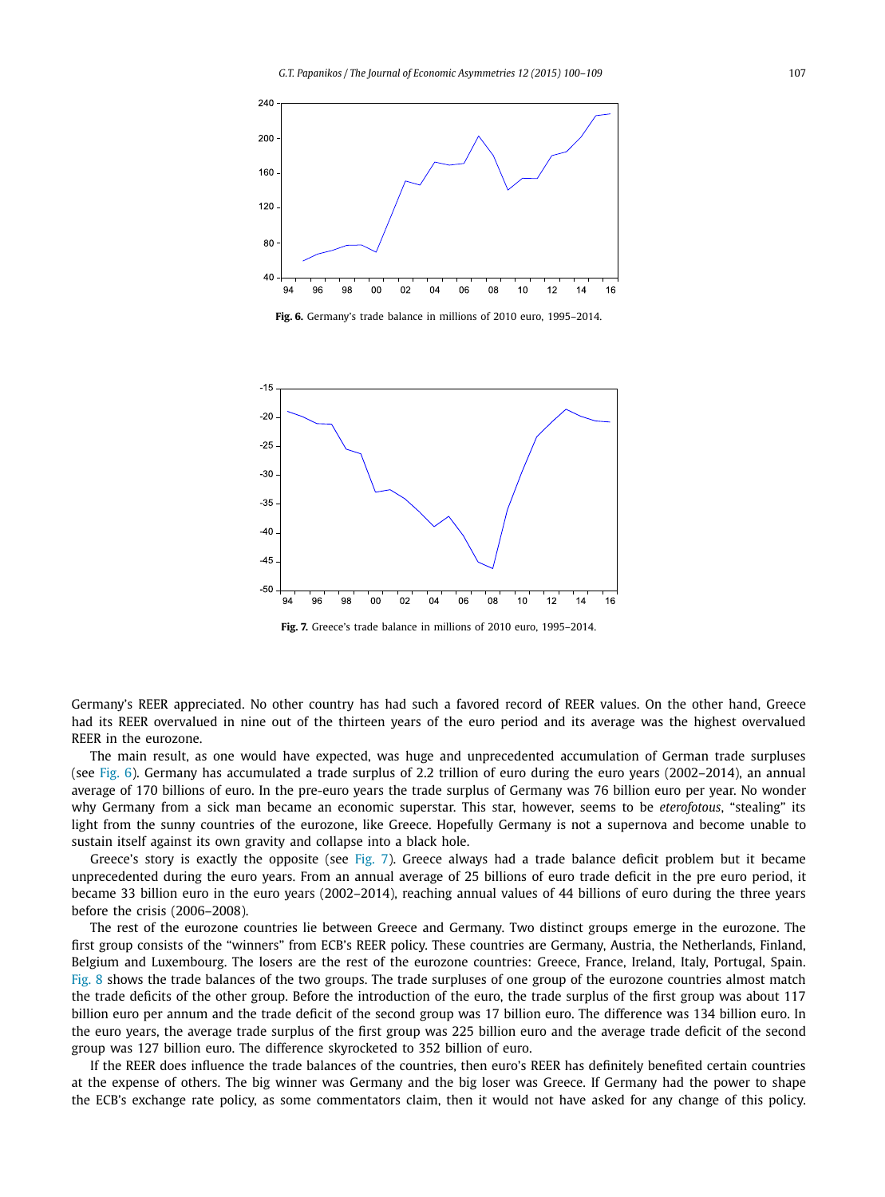

**Fig. 6.** Germany's trade balance in millions of 2010 euro, 1995–2014.



**Fig. 7.** Greece's trade balance in millions of 2010 euro, 1995–2014.

Germany's REER appreciated. No other country has had such a favored record of REER values. On the other hand, Greece had its REER overvalued in nine out of the thirteen years of the euro period and its average was the highest overvalued REER in the eurozone.

The main result, as one would have expected, was huge and unprecedented accumulation of German trade surpluses (see Fig. 6). Germany has accumulated a trade surplus of 2.2 trillion of euro during the euro years (2002–2014), an annual average of 170 billions of euro. In the pre-euro years the trade surplus of Germany was 76 billion euro per year. No wonder why Germany from a sick man became an economic superstar. This star, however, seems to be *eterofotous*, "stealing" its light from the sunny countries of the eurozone, like Greece. Hopefully Germany is not a supernova and become unable to sustain itself against its own gravity and collapse into a black hole.

Greece's story is exactly the opposite (see Fig. 7). Greece always had a trade balance deficit problem but it became unprecedented during the euro years. From an annual average of 25 billions of euro trade deficit in the pre euro period, it became 33 billion euro in the euro years (2002–2014), reaching annual values of 44 billions of euro during the three years before the crisis (2006–2008).

The rest of the eurozone countries lie between Greece and Germany. Two distinct groups emerge in the eurozone. The first group consists of the "winners" from ECB's REER policy. These countries are Germany, Austria, the Netherlands, Finland, Belgium and Luxembourg. The losers are the rest of the eurozone countries: Greece, France, Ireland, Italy, Portugal, Spain. [Fig. 8](#page-8-0) shows the trade balances of the two groups. The trade surpluses of one group of the eurozone countries almost match the trade deficits of the other group. Before the introduction of the euro, the trade surplus of the first group was about 117 billion euro per annum and the trade deficit of the second group was 17 billion euro. The difference was 134 billion euro. In the euro years, the average trade surplus of the first group was 225 billion euro and the average trade deficit of the second group was 127 billion euro. The difference skyrocketed to 352 billion of euro.

If the REER does influence the trade balances of the countries, then euro's REER has definitely benefited certain countries at the expense of others. The big winner was Germany and the big loser was Greece. If Germany had the power to shape the ECB's exchange rate policy, as some commentators claim, then it would not have asked for any change of this policy.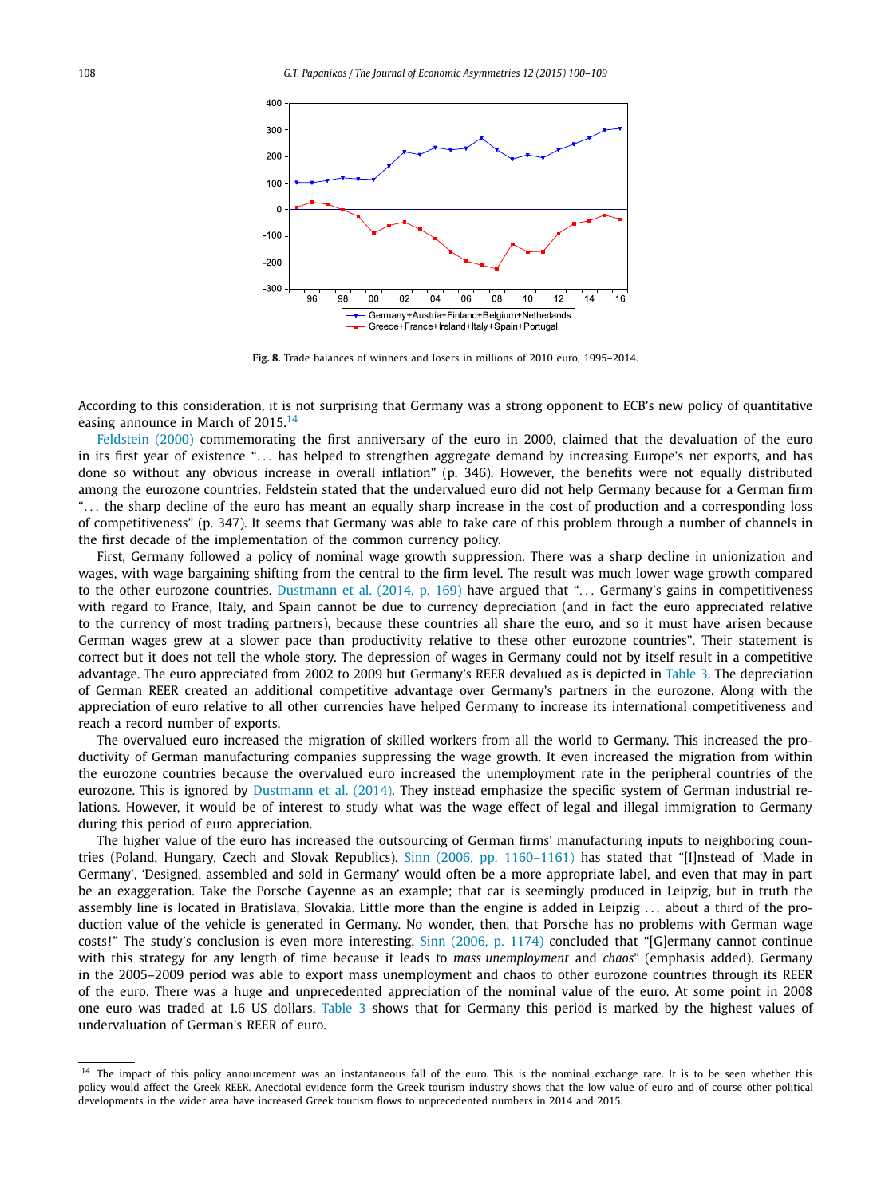<span id="page-8-0"></span>

**Fig. 8.** Trade balances of winners and losers in millions of 2010 euro, 1995–2014.

According to this consideration, it is not surprising that Germany was a strong opponent to ECB's new policy of quantitative easing announce in March of  $2015.<sup>14</sup>$ 

Feldstein (2000) commemorating the first anniversary of the euro in 2000, claimed that the devaluation of the euro in its first year of existence "*...* has helped to strengthen aggregate demand by increasing Europe's net exports, and has done so without any obvious increase in overall inflation" (p. 346). However, the benefits were not equally distributed among the eurozone countries. Feldstein stated that the undervalued euro did not help Germany because for a German firm "*...* the sharp decline of the euro has meant an equally sharp increase in the cost of production and a corresponding loss of competitiveness" (p. 347). It seems that Germany was able to take care of this problem through a number of channels in the first decade of the implementation of the common currency policy.

First, Germany followed a policy of nominal wage growth suppression. There was a sharp decline in unionization and wages, with wage bargaining shifting from the central to the firm level. The result was much lower wage growth compared to the other eurozone countries. [Dustmann](#page-9-0) et al. (2014, p. 169) have argued that "*...* Germany's gains in competitiveness with regard to France, Italy, and Spain cannot be due to currency depreciation (and in fact the euro appreciated relative to the currency of most trading partners), because these countries all share the euro, and so it must have arisen because German wages grew at a slower pace than productivity relative to these other eurozone countries". Their statement is correct but it does not tell the whole story. The depression of wages in Germany could not by itself result in a competitive advantage. The euro appreciated from 2002 to 2009 but Germany's REER devalued as is depicted in [Table 3.](#page-6-0) The depreciation of German REER created an additional competitive advantage over Germany's partners in the eurozone. Along with the appreciation of euro relative to all other currencies have helped Germany to increase its international competitiveness and reach a record number of exports.

The overvalued euro increased the migration of skilled workers from all the world to Germany. This increased the productivity of German manufacturing companies suppressing the wage growth. It even increased the migration from within the eurozone countries because the overvalued euro increased the unemployment rate in the peripheral countries of the eurozone. This is ignored by [Dustmann](#page-9-0) et al. (2014). They instead emphasize the specific system of German industrial relations. However, it would be of interest to study what was the wage effect of legal and illegal immigration to Germany during this period of euro appreciation.

The higher value of the euro has increased the outsourcing of German firms' manufacturing inputs to neighboring countries (Poland, Hungary, Czech and Slovak Republics). Sinn (2006, [pp. 1160–1161\)](#page-9-0) has stated that "[I]nstead of 'Made in Germany', 'Designed, assembled and sold in Germany' would often be a more appropriate label, and even that may in part be an exaggeration. Take the Porsche Cayenne as an example; that car is seemingly produced in Leipzig, but in truth the assembly line is located in Bratislava, Slovakia. Little more than the engine is added in Leipzig *...* about a third of the production value of the vehicle is generated in Germany. No wonder, then, that Porsche has no problems with German wage costs!" The study's conclusion is even more interesting. Sinn (2006, [p. 1174\)](#page-9-0) concluded that "[G]ermany cannot continue with this strategy for any length of time because it leads to *mass unemployment* and *chaos*" (emphasis added). Germany in the 2005–2009 period was able to export mass unemployment and chaos to other eurozone countries through its REER of the euro. There was a huge and unprecedented appreciation of the nominal value of the euro. At some point in 2008 one euro was traded at 1.6 US dollars. [Table 3](#page-6-0) shows that for Germany this period is marked by the highest values of undervaluation of German's REER of euro.

<sup>&</sup>lt;sup>14</sup> The impact of this policy announcement was an instantaneous fall of the euro. This is the nominal exchange rate. It is to be seen whether this policy would affect the Greek REER. Anecdotal evidence form the Greek tourism industry shows that the low value of euro and of course other political developments in the wider area have increased Greek tourism flows to unprecedented numbers in 2014 and 2015.